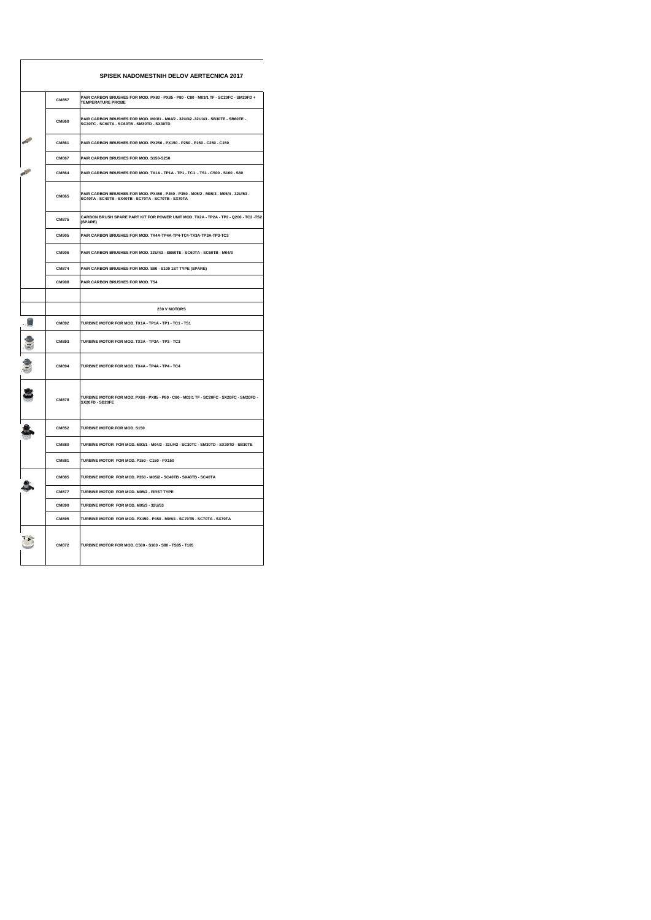|              | SPISEK NADOMESTNIH DELOV AERTECNICA 2017                                                                                                   |
|--------------|--------------------------------------------------------------------------------------------------------------------------------------------|
| <b>CM857</b> | PAIR CARBON BRUSHES FOR MOD. PX80 - PX85 - P80 - C80 - M03/1 TF - SC20FC - SM20FD +<br><b>TEMPERATURE PROBE</b>                            |
| CM860        | PAIR CARBON BRUSHES FOR MOD. M03/1 - M04/2 - 32U/42 -32U/43 - SB30TE - SB60TE -<br>SC30TC - SC60TA - SC60TB - SM30TD - SX30TD              |
| CM861        | PAIR CARBON BRUSHES FOR MOD. PX250 - PX150 - P250 - P150 - C250 - C150                                                                     |
| <b>CM867</b> | PAIR CARBON BRUSHES FOR MOD. S150-S250                                                                                                     |
| <b>CM864</b> | PAIR CARBON BRUSHES FOR MOD. TX1A - TP1A - TP1 - TC1 - TS1 - C500 - S100 - S80                                                             |
| CM865        | PAIR CARBON BRUSHES FOR MOD. PX450 - P450 - P350 - M05/2 - M05/3 - M05/4 - 32U/53 -<br>SC40TA - SC40TB - SX40TB - SC70TA - SC70TB - SX70TA |
| <b>CM875</b> | CARBON BRUSH SPARE PART KIT FOR POWER UNIT MOD. TX2A - TP2A - TP2 - Q200 - TC2 -TS2<br>(SPARE)                                             |
| <b>CM905</b> | PAIR CARBON BRUSHES FOR MOD. TX4A-TP4A-TP4-TC4-TX3A-TP3A-TP3-TC3                                                                           |
| <b>CM906</b> | PAIR CARBON BRUSHES FOR MOD. 32U/43 - SB60TE - SC60TA - SC60TB - M04/3                                                                     |
| <b>CM874</b> | PAIR CARBON BRUSHES FOR MOD. S80 - S100 1ST TYPE (SPARE)                                                                                   |
| <b>CM908</b> | PAIR CARBON BRUSHES FOR MOD. TS4                                                                                                           |
|              |                                                                                                                                            |
|              | 230 V MOTORS                                                                                                                               |
| CM892        | TURBINE MOTOR FOR MOD. TX1A - TP1A - TP1 - TC1 - TS1                                                                                       |
| CM893        | TURBINE MOTOR FOR MOD. TX3A - TP3A - TP3 - TC3                                                                                             |
| CM894        | TURBINE MOTOR FOR MOD. TX4A - TP4A - TP4 - TC4                                                                                             |
| <b>CM878</b> | TURBINE MOTOR FOR MOD. PX80 - PX85 - P80 - C80 - M03/1 TF - SC20FC - SX20FC - SM20FD -<br>SX20FD - SB20FE                                  |
| <b>CM852</b> | <b>TURBINE MOTOR FOR MOD, S150</b>                                                                                                         |
| <b>CM880</b> | TURBINE MOTOR FOR MOD. M03/1 - M04/2 - 32U/42 - SC30TC - SM30TD - SX30TD - SB30TE                                                          |
| CM881        | TURBINE MOTOR FOR MOD. P150 - C150 - PX150                                                                                                 |
| <b>CM885</b> | TURBINE MOTOR FOR MOD, P350 - M05/2 - SC40TB - SX40TB - SC40TA                                                                             |
| <b>CM877</b> | TURBINE MOTOR FOR MOD. M05/2 - FIRST TYPE                                                                                                  |
| <b>CM890</b> | TURBINE MOTOR FOR MOD. M05/3 - 32U/53                                                                                                      |
| <b>CM895</b> | TURBINE MOTOR FOR MOD. PX450 - P450 - M05/4 - SC70TB - SC70TA - SX70TA                                                                     |
| <b>CM872</b> | TURBINE MOTOR FOR MOD. C500 - S100 - S80 - TS85 - T105                                                                                     |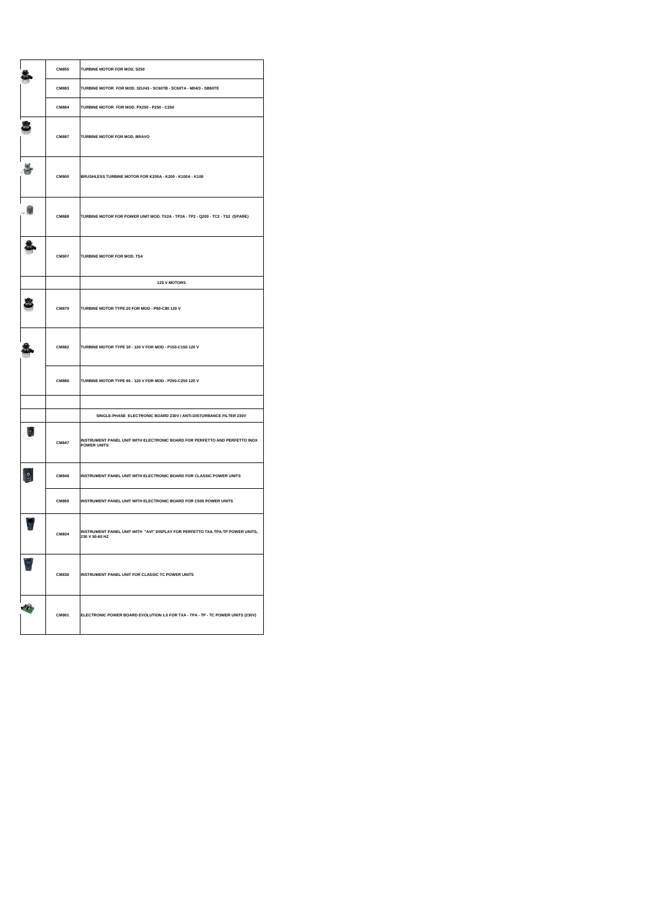| <b>CM855</b> | TURBINE MOTOR FOR MOD. \$250                                                                     |
|--------------|--------------------------------------------------------------------------------------------------|
| CM883        | TURBINE MOTOR FOR MOD. 32U/43 - SC60TB - SC60TA - M04/3 - SB60TE                                 |
| <b>CM884</b> | TURBINE MOTOR FOR MOD. PX250 - P250 - C250                                                       |
| <b>CM887</b> | TURBINE MOTOR FOR MOD. BRAVO                                                                     |
| <b>CM900</b> | BRUSHLESS TURBINE MOTOR FOR K200A - K200 - K100A - K100                                          |
| <b>CM888</b> | TURBINE MOTOR FOR POWER UNIT MOD. TX2A - TP2A - TP2 - Q200 - TC2 - TS2 (SPARE)                   |
| <b>CM907</b> | TURBINE MOTOR FOR MOD. TS4                                                                       |
|              | 120 V MOTORS                                                                                     |
| <b>CM879</b> | TURBINE MOTOR TYPE 20 FOR MOD - P80-C80 120 V                                                    |
| <b>CM882</b> | TURBINE MOTOR TYPE 30 - 120 V FOR MOD - P150-C150 120 V                                          |
| <b>CM886</b> | TURBINE MOTOR TYPE 60 - 120 V FOR MOD - P250-C250 120 V                                          |
|              |                                                                                                  |
|              | SINGLE-PHASE ELECTRONIC BOARD 230V / ANTI-DISTURBANCE FILTER 230V                                |
| <b>CM847</b> | INSTRUMENT PANEL UNIT WITH ELECTRONIC BOARD FOR PERFETTO AND PERFETTO INOX<br><b>POWER UNITS</b> |
| <b>CM848</b> | INSTRUMENT PANEL UNIT WITH ELECTRONIC BOARD FOR CLASSIC POWER UNITS                              |
| <b>CM869</b> | INSTRUMENT PANEL UNIT WITH ELECTRONIC BOARD FOR C500 POWER UNITS                                 |
| CM834        | INSTRUMENT PANEL UNIT WITH "AVI" DISPLAY FOR PERFETTO TXA-TPA-TP POWER UNITS,<br>230 V 50-60 HZ  |
| CM836        | INSTRUMENT PANEL UNIT FOR CLASSIC TC POWER UNITS                                                 |
| CM901        | ELECTRONIC POWER BOARD EVOLUTION 1.0 FOR TXA - TPA - TP - TC POWER UNITS (230V)                  |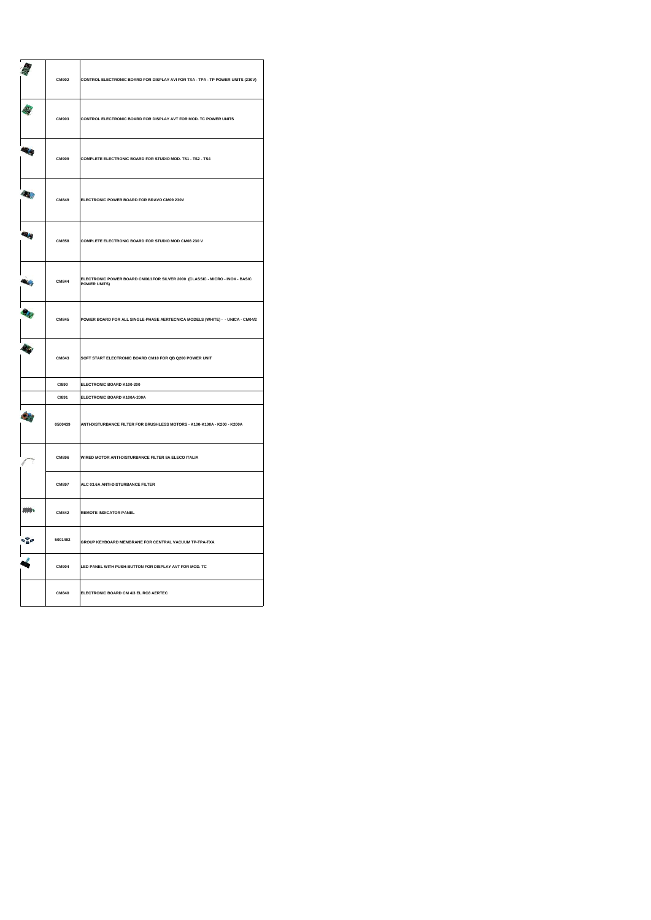|             | CM902        | CONTROL ELECTRONIC BOARD FOR DISPLAY AVI FOR TXA - TPA - TP POWER UNITS (230V)                      |
|-------------|--------------|-----------------------------------------------------------------------------------------------------|
|             | CM903        | CONTROL ELECTRONIC BOARD FOR DISPLAY AVT FOR MOD. TC POWER UNITS                                    |
| <b>R.Ky</b> | CM909        | COMPLETE ELECTRONIC BOARD FOR STUDIO MOD. TS1 - TS2 - TS4                                           |
| 4           | CM849        | ELECTRONIC POWER BOARD FOR BRAVO CM09 230V                                                          |
| 48          | <b>CM858</b> | COMPLETE ELECTRONIC BOARD FOR STUDIO MOD CM08 230 V                                                 |
|             | <b>CM844</b> | ELECTRONIC POWER BOARD CM06/1FOR SILVER 2000 (CLASSIC - MICRO - INOX - BASIC<br><b>POWER UNITS)</b> |
|             | <b>CM845</b> | POWER BOARD FOR ALL SINGLE-PHASE AERTECNICA MODELS (WHITE) - - UNICA - CM04/2                       |
|             | CM843        | SOFT START ELECTRONIC BOARD CM10 FOR QB Q200 POWER UNIT                                             |
|             | <b>CI890</b> | ELECTRONIC BOARD K100-200                                                                           |
|             | C1891        | ELECTRONIC BOARD K100A-200A                                                                         |
|             | 0500439      | ANTI-DISTURBANCE FILTER FOR BRUSHLESS MOTORS - K100-K100A - K200 - K200A                            |
|             | CM896        | WIRED MOTOR ANTI-DISTURBANCE FILTER 8A ELECO ITALIA                                                 |
|             | <b>CM897</b> | ALC 03.6A ANTI-DISTURBANCE FILTER                                                                   |
| 样           | <b>CM842</b> | <b>REMOTE INDICATOR PANEL</b>                                                                       |
| $\sqrt{2}$  | 5001492      | GROUP KEYBOARD MEMBRANE FOR CENTRAL VACUUM TP-TPA-TXA                                               |
|             | <b>CM904</b> | LED PANEL WITH PUSH-BUTTON FOR DISPLAY AVT FOR MOD. TC                                              |
|             | <b>CM840</b> | ELECTRONIC BOARD CM 4/3 EL RC8 AERTEC                                                               |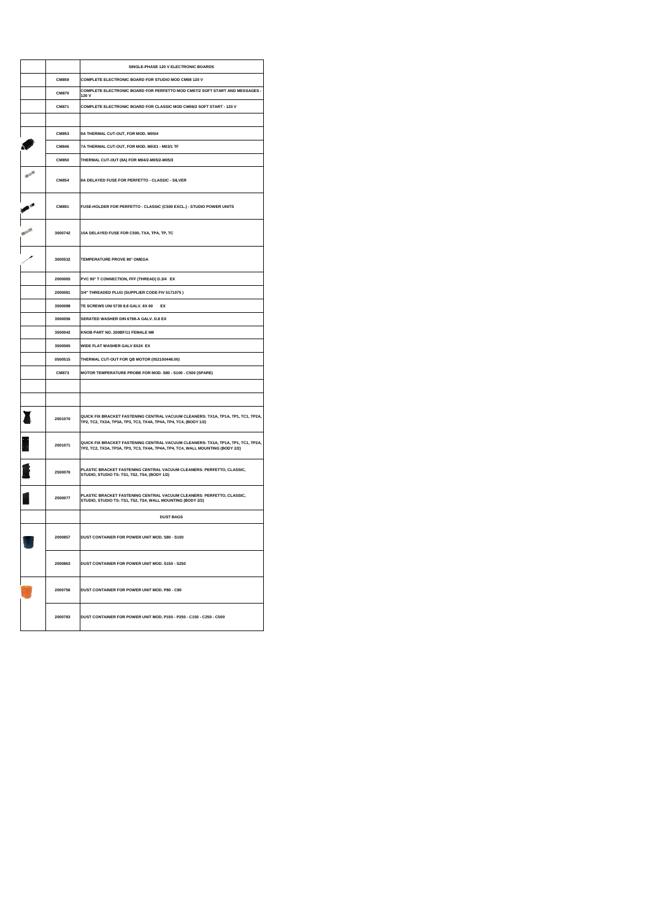|              | SINGLE-PHASE 120 V ELECTRONIC BOARDS                                                                                                                               |
|--------------|--------------------------------------------------------------------------------------------------------------------------------------------------------------------|
| CM859        | COMPLETE ELECTRONIC BOARD FOR STUDIO MOD CM08 120 V                                                                                                                |
| <b>CM870</b> | COMPLETE ELECTRONIC BOARD FOR PERFETTO MOD CM07/2 SOFT START AND MESSAGES -<br>120 V                                                                               |
| CM871        | COMPLETE ELECTRONIC BOARD FOR CLASSIC MOD CM06/2 SOFT START - 120 V                                                                                                |
|              |                                                                                                                                                                    |
| CM853        | 9A THERMAL CUT-OUT, FOR MOD. M05/4                                                                                                                                 |
| CM846        | 7A THERMAL CUT-OUT, FOR MOD. M03/1 - M03/1 TF                                                                                                                      |
| <b>CM850</b> | THERMAL CUT-OUT (8A) FOR M04/2-M05/2-M05/3                                                                                                                         |
| CM854        | 8A DELAYED FUSE FOR PERFETTO - CLASSIC - SILVER                                                                                                                    |
| CM891        | FUSE-HOLDER FOR PERFETTO - CLASSIC (C500 EXCL.) - STUDIO POWER UNITS                                                                                               |
| 3000742      | 10A DELAYED FUSE FOR C500, TXA, TPA, TP, TC                                                                                                                        |
| 3000532      | <b>TEMPERATURE PROVE 80° OMEGA</b>                                                                                                                                 |
| 2000065      | PVC 90° T CONNECTION, FFF (THREAD) D.3/4 EX                                                                                                                        |
| 2000081      | 3/4" THREADED PLUG (SUPPLIER CODE FIV 5171075)                                                                                                                     |
| 3500088      | TE SCREWS UNI 5739 8.8 GALV, 8X 60<br>EX                                                                                                                           |
| 3500056      | SERATED WASHER DIN 6798-A GALV, D.8 EX                                                                                                                             |
| 3500042      | KNOB PART NO. 200BF/11 FEMALE M8                                                                                                                                   |
| 3500065      | WIDE FLAT WASHER GALV 8X24 EX                                                                                                                                      |
| 0500515      | THERMAL CUT-OUT FOR QB MOTOR (052100448.00)                                                                                                                        |
| CM873        | MOTOR TEMPERATURE PROBE FOR MOD, S80 - S100 - C500 (SPARE)                                                                                                         |
|              |                                                                                                                                                                    |
| 2001070      | QUICK FIX BRACKET FASTENING CENTRAL VACUUM CLEANERS: TX1A, TP1A, TP1, TC1, TP2A,<br>ТР2, ТС2, ТХ3А, ТР3А, ТР3, ТС3, ТХ4А, ТР4А, ТР4, ТС4, (BODY 1/2)               |
| 2001071      | QUICK FIX BRACKET FASTENING CENTRAL VACUUM CLEANERS: TX1A, TP1A, TP1, TC1, TP2A,<br>TP2, TC2, TX3A, TP3A, TP3, TC3, TX4A, TP4A, TP4, TC4, WALL MOUNTING (BODY 2/2) |
| 2500076      | PLASTIC BRACKET FASTENING CENTRAL VACUUM CLEANERS: PERFETTO, CLASSIC,<br>STUDIO, STUDIO TS: TS1, TS2, TS4, (BODY 1/2)                                              |
| 2500077      | PLASTIC BRACKET FASTENING CENTRAL VACUUM CLEANERS: PERFETTO, CLASSIC,<br>STUDIO, STUDIO TS: TS1, TS2, TS4, WALL MOUNTING (BODY 2/2)                                |
|              | <b>DUST BAGS</b>                                                                                                                                                   |
| 2000857      | DUST CONTAINER FOR POWER UNIT MOD. S80 - S100                                                                                                                      |
| 2000863      | DUST CONTAINER FOR POWER UNIT MOD, S150 - S250                                                                                                                     |
| 2000756      | DUST CONTAINER FOR POWER UNIT MOD. P80 - C80                                                                                                                       |
| 2000783      | DUST CONTAINER FOR POWER UNIT MOD, P150 - P250 - C150 - C250 - C500                                                                                                |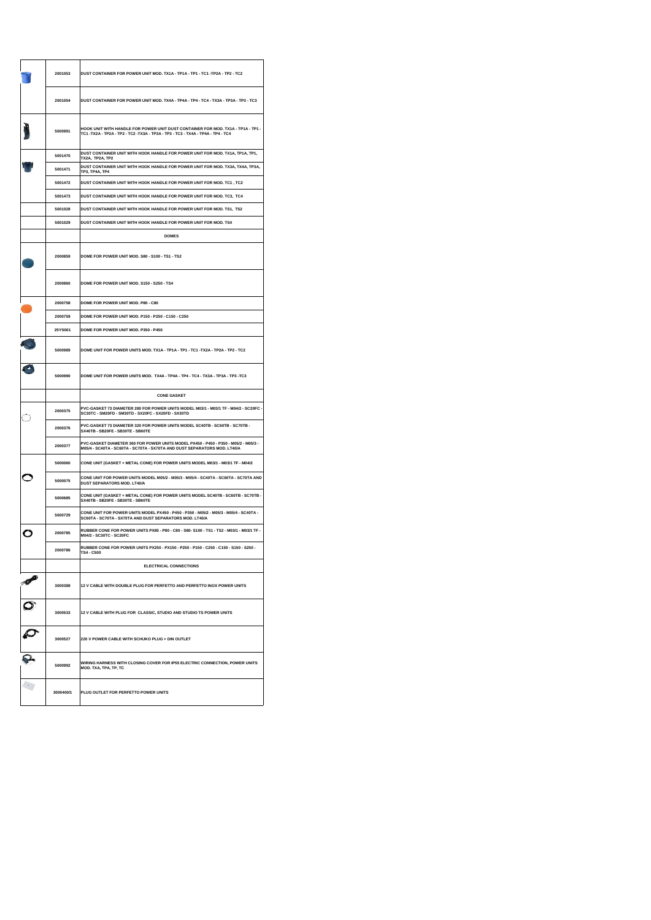| 2001053 | DUST CONTAINER FOR POWER UNIT MOD. TX1A - TP1A - TP1 - TC1 - TP2A - TP2 - TC2                                                                                    |
|---------|------------------------------------------------------------------------------------------------------------------------------------------------------------------|
| 2001054 | DUST CONTAINER FOR POWER UNIT MOD. TX4A - TP4A - TP4 - TC4 - TX3A - TP3A - TP3 - TC3                                                                             |
| 5000991 | HOOK UNIT WITH HANDLE FOR POWER UNIT DUST CONTAINER FOR MOD. TX1A - TP1A - TP1 -<br>TC1-TX2A-TP2A-TP2-TC2-TX3A-TP3A-TP3-TC3-TX4A-TP4A-TP4-TC4                    |
| 5001470 | DUST CONTAINER UNIT WITH HOOK HANDLE FOR POWER UNIT FOR MOD. TX1A, TP1A, TP1,<br>TX2A, TP2A, TP2                                                                 |
| 5001471 | DUST CONTAINER UNIT WITH HOOK HANDLE FOR POWER UNIT FOR MOD. TX3A, TX4A, TP3A,<br>TP3, TP4A, TP4                                                                 |
| 5001472 | DUST CONTAINER UNIT WITH HOOK HANDLE FOR POWER UNIT FOR MOD. TC1, TC2                                                                                            |
| 5001473 | DUST CONTAINER UNIT WITH HOOK HANDLE FOR POWER UNIT FOR MOD. TC3, TC4                                                                                            |
| 5001028 | DUST CONTAINER UNIT WITH HOOK HANDLE FOR POWER UNIT FOR MOD. TS1, TS2                                                                                            |
| 5001029 | DUST CONTAINER UNIT WITH HOOK HANDLE FOR POWER UNIT FOR MOD. TS4                                                                                                 |
|         | <b>DOMES</b>                                                                                                                                                     |
|         |                                                                                                                                                                  |
| 2000859 | DOME FOR POWER UNIT MOD. S80 - S100 - TS1 - TS2                                                                                                                  |
| 2000860 | DOME FOR POWER UNIT MOD, S150 - S250 - TS4                                                                                                                       |
| 2000758 | DOME FOR POWER UNIT MOD. P80 - C80                                                                                                                               |
| 2000759 | DOME FOR POWER UNIT MOD. P150 - P250 - C150 - C250                                                                                                               |
| 25YS001 | DOME FOR POWER UNIT MOD. P350 - P450                                                                                                                             |
| 5000989 | DOME UNIT FOR POWER UNITS MOD. TX1A - TP1A - TP1 - TC1 -TX2A - TP2A - TP2 - TC2                                                                                  |
| 5000990 | DOME UNIT FOR POWER UNITS MOD. TX4A - TP4A - TP4 - TC4 - TX3A - TP3A - TP3 - TC3                                                                                 |
|         |                                                                                                                                                                  |
|         | <b>CONE GASKET</b>                                                                                                                                               |
| 2000375 | PVC-GASKET 73 DIAMETER 280 FOR POWER UNITS MODEL M03/1 - M03/1 TF - M04/2 - SC20FC -<br>SC30TC - SM20FD - SM30TD - SX20FC - SX20FD - SX30TD                      |
| 2000376 | PVC-GASKET 73 DIAMETER 320 FOR POWER UNITS MODEL SC40TB - SC60TB - SC70TB -<br>SX40TB - SB20FE - SB30TE - SB60TE                                                 |
| 2000377 | PVC-GASKET DIAMETER 360 FOR POWER UNITS MODEL PX450 - P450 - P350 - M05/2 - M05/3 -<br>M05/4 - SC40TA - SC60TA - SC70TA - SX70TA AND DUST SEPARATORS MOD. LT40/A |
| 5000060 | CONE UNIT (GASKET + METAL CONE) FOR POWER UNITS MODEL M03/1 - M03/1 TF - M04/2                                                                                   |
| 5000075 | CONE UNIT FOR POWER UNITS MODEL M05/2 - M05/3 - M05/4 - SC40TA - SC60TA - SC70TA AND<br><b>DUST SEPARATORS MOD. LT40/A</b>                                       |
| 5000685 | CONE UNIT (GASKET + METAL CONE) FOR POWER UNITS MODEL SC40TB - SC60TB - SC70TB -<br>SX40TB - SB20FE - SB30TE - SB60TE                                            |
| 5000729 | CONE UNIT FOR POWER UNITS MODEL PX450 - P450 - P350 - M05/2 - M05/3 - M05/4 - SC40TA -<br>SC60TA - SC70TA - SX70TA AND DUST SEPARATORS MOD. LT40/A               |
| 2000785 | RUBBER CONE FOR POWER UNITS PX85 - P80 - C80 - S80- S100 - TS1 - TS2 - M03/1 - M03/1 TF -<br>M04/2 - SC30TC - SC20FC                                             |
| 2000786 | RUBBER CONE FOR POWER UNITS PX250 - PX150 - P250 - P150 - C250 - C150 - S150 - S250 -                                                                            |
|         | <b>ELECTRICAL CONNECTIONS</b>                                                                                                                                    |
| 3000388 | 12 V CABLE WITH DOUBLE PLUG FOR PERFETTO AND PERFETTO INOX POWER UNITS                                                                                           |
| 3000533 | 12 V CABLE WITH PLUG FOR CLASSIC, STUDIO AND STUDIO TS POWER UNITS                                                                                               |
| 3000527 | 220 V POWER CABLE WITH SCHUKO PLUG + DIN OUTLET                                                                                                                  |
| 5000992 | WIRING HARNESS WITH CLOSING COVER FOR IP55 ELECTRIC CONNECTION, POWER UNITS<br>MOD. TXA, TPA, TP, TC                                                             |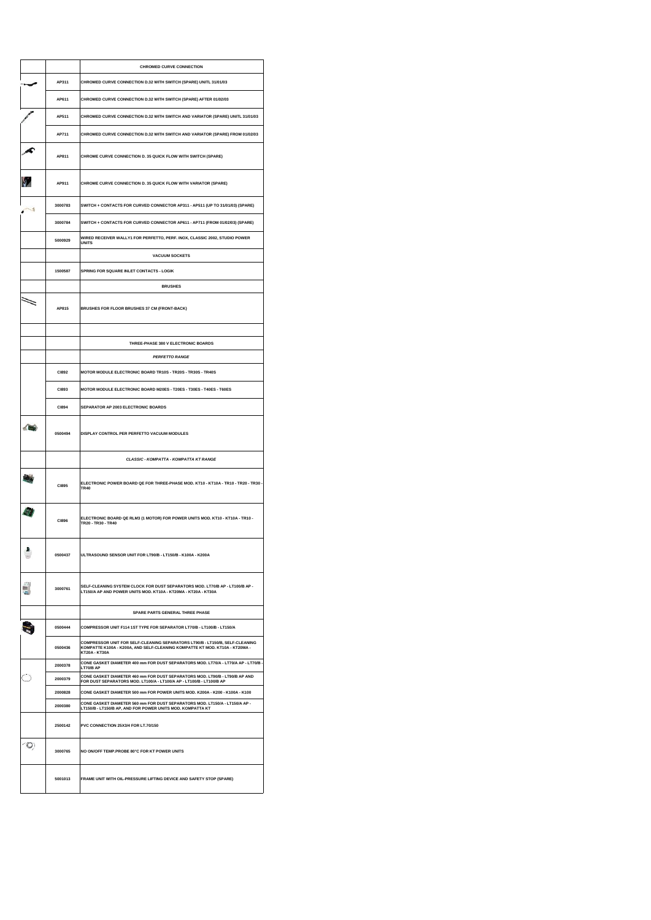|           |              | <b>CHROMED CURVE CONNECTION</b>                                                                                                                                                     |
|-----------|--------------|-------------------------------------------------------------------------------------------------------------------------------------------------------------------------------------|
|           | AP311        | CHROMED CURVE CONNECTION D.32 WITH SWITCH (SPARE) UNITL 31/01/03                                                                                                                    |
|           | AP611        | CHROMED CURVE CONNECTION D.32 WITH SWITCH (SPARE) AFTER 01/02/03                                                                                                                    |
|           | AP511        | CHROMED CURVE CONNECTION D.32 WITH SWITCH AND VARIATOR (SPARE) UNITL 31/01/03                                                                                                       |
|           | AP711        | CHROMED CURVE CONNECTION D.32 WITH SWITCH AND VARIATOR (SPARE) FROM 01/02/03                                                                                                        |
|           | AP811        | CHROME CURVE CONNECTION D. 35 QUICK FLOW WITH SWITCH (SPARE)                                                                                                                        |
|           | AP911        | CHROME CURVE CONNECTION D. 35 QUICK FLOW WITH VARIATOR (SPARE)                                                                                                                      |
| $\sim$ 3  | 3000783      | SWITCH + CONTACTS FOR CURVED CONNECTOR AP311 - AP511 (UP TO 31/01/03) (SPARE)                                                                                                       |
|           | 3000784      | SWITCH + CONTACTS FOR CURVED CONNECTOR AP611 - AP711 (FROM 01/02/03) (SPARE)                                                                                                        |
|           | 5000929      | WIRED RECEIVER WALLY1 FOR PERFETTO, PERF. INOX, CLASSIC 2002, STUDIO POWER<br><b>UNITS</b>                                                                                          |
|           |              | <b>VACUUM SOCKETS</b>                                                                                                                                                               |
|           | 1500587      | <b>SPRING FOR SQUARE INLET CONTACTS - LOGIK</b>                                                                                                                                     |
|           |              | <b>BRUSHES</b>                                                                                                                                                                      |
|           | AP815        | BRUSHES FOR FLOOR BRUSHES 37 CM (FRONT-BACK)                                                                                                                                        |
|           |              | THREE-PHASE 380 V ELECTRONIC BOARDS                                                                                                                                                 |
|           |              | <b>PERFETTO RANGE</b>                                                                                                                                                               |
|           | C1892        | MOTOR MODULE ELECTRONIC BOARD TR10S - TR20S - TR30S - TR40S                                                                                                                         |
|           | C1893        | MOTOR MODULE ELECTRONIC BOARD M20ES - T20ES - T30ES - T40ES - T60ES                                                                                                                 |
|           |              |                                                                                                                                                                                     |
|           | <b>CI894</b> | SEPARATOR AP 2003 ELECTRONIC BOARDS                                                                                                                                                 |
| $-869$    | 0500494      | DISPLAY CONTROL PER PERFETTO VACUUM MODULES                                                                                                                                         |
|           |              | <b>CLASSIC - KOMPATTA - KOMPATTA KT RANGE</b>                                                                                                                                       |
|           | <b>CI895</b> | ELECTRONIC POWER BOARD QE FOR THREE-PHASE MOD. KT10 - KT10A - TR10 - TR20 - TR30 -<br><b>TR40</b>                                                                                   |
|           | <b>CI896</b> | ELECTRONIC BOARD QE RLM3 (1 MOTOR) FOR POWER UNITS MOD. KT10 - KT10A - TR10 -<br>TR20 - TR30 - TR40                                                                                 |
| à<br>Yes) | 0500437      | ULTRASOUND SENSOR UNIT FOR LT90/B - LT150/B - K100A - K200A                                                                                                                         |
|           | 3000761      | SELF-CLEANING SYSTEM CLOCK FOR DUST SEPARATORS MOD. LT70/B AP - LT100/B AP -<br>LT150/A AP AND POWER UNITS MOD. KT10A - KT20MA - KT20A - KT30A                                      |
|           |              | SPARE PARTS GENERAL THREE PHASE                                                                                                                                                     |
|           | 0500444      | COMPRESSOR UNIT F114 1ST TYPE FOR SEPARATOR LT70/B - LT100/B - LT150/A                                                                                                              |
|           | 0500436      | COMPRESSOR UNIT FOR SELF-CLEANING SEPARATORS LT90/B - LT150/B, SELF-CLEANING<br>KOMPATTE K100A - K200A, AND SELF-CLEANING KOMPATTE KT MOD. KT10A - KT20MA -<br><b>KT20A - KT30A</b> |
|           | 2000378      | CONE GASKET DIAMETER 400 mm FOR DUST SEPARATORS MOD. LT70/A - LT70/A AP - LT70/B -<br>LT70/B AP                                                                                     |
|           | 2000379      | CONE GASKET DIAMETER 460 mm FOR DUST SEPARATORS MOD. LT90/B - LT90/B AP AND<br>FOR DUST SEPARATORS MOD. LT100/A - LT100/A AP - LT100/B - LT100/B AP                                 |
|           | 2000828      | CONE GASKET DIAMETER 500 mm FOR POWER UNITS MOD. K200A - K200 - K100A - K100                                                                                                        |
|           | 2000380      | CONE GASKET DIAMETER 560 mm FOR DUST SEPARATORS MOD. LT150/A - LT150/A AP -<br>LT150/B - LT150/B AP, AND FOR POWER UNITS MOD. KOMPATTA KT                                           |
|           | 2500142      | PVC CONNECTION 25X3/4 FOR LT.70/150                                                                                                                                                 |
| - (2)     | 3000765      | NO ON/OFF TEMP.PROBE 80°C FOR KT POWER UNITS                                                                                                                                        |
|           | 5001013      | FRAME UNIT WITH OIL-PRESSURE LIFTING DEVICE AND SAFETY STOP (SPARE)                                                                                                                 |